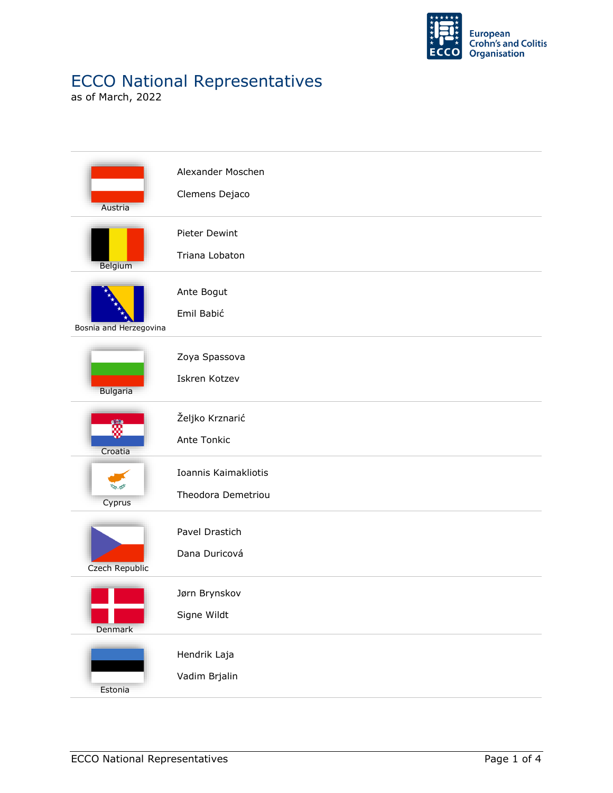

## ECCO National Representatives

as of March, 2022

| Austria                | Alexander Moschen<br>Clemens Dejaco        |
|------------------------|--------------------------------------------|
| Belgium                | Pieter Dewint<br>Triana Lobaton            |
| Bosnia and Herzegovina | Ante Bogut<br>Emil Babić                   |
| <b>Bulgaria</b>        | Zoya Spassova<br>Iskren Kotzev             |
| ã<br>Croatia           | Željko Krznarić<br>Ante Tonkic             |
| Cyprus                 | Ioannis Kaimakliotis<br>Theodora Demetriou |
| Czech Republic         | Pavel Drastich<br>Dana Duricová            |
| Denmark                | Jørn Brynskov<br>Signe Wildt               |
| Estonia                | Hendrik Laja<br>Vadim Brjalin              |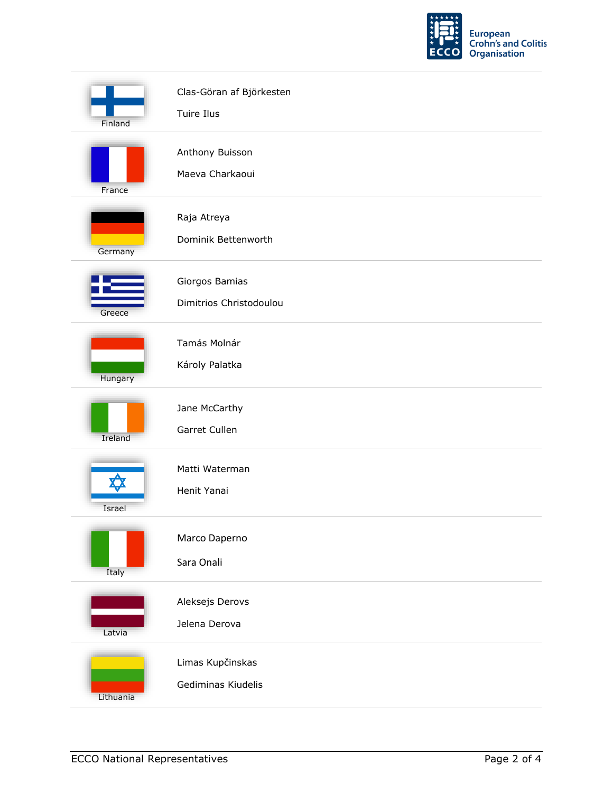

| Finland   | Clas-Göran af Björkesten<br>Tuire Ilus    |
|-----------|-------------------------------------------|
| France    | Anthony Buisson<br>Maeva Charkaoui        |
| Germany   | Raja Atreya<br>Dominik Bettenworth        |
| Greece    | Giorgos Bamias<br>Dimitrios Christodoulou |
| Hungary   | Tamás Molnár<br>Károly Palatka            |
| Ireland   | Jane McCarthy<br>Garret Cullen            |
| Israel    | Matti Waterman<br>Henit Yanai             |
| Italy     | Marco Daperno<br>Sara Onali               |
| Latvia    | Aleksejs Derovs<br>Jelena Derova          |
| Lithuania | Limas Kupčinskas<br>Gediminas Kiudelis    |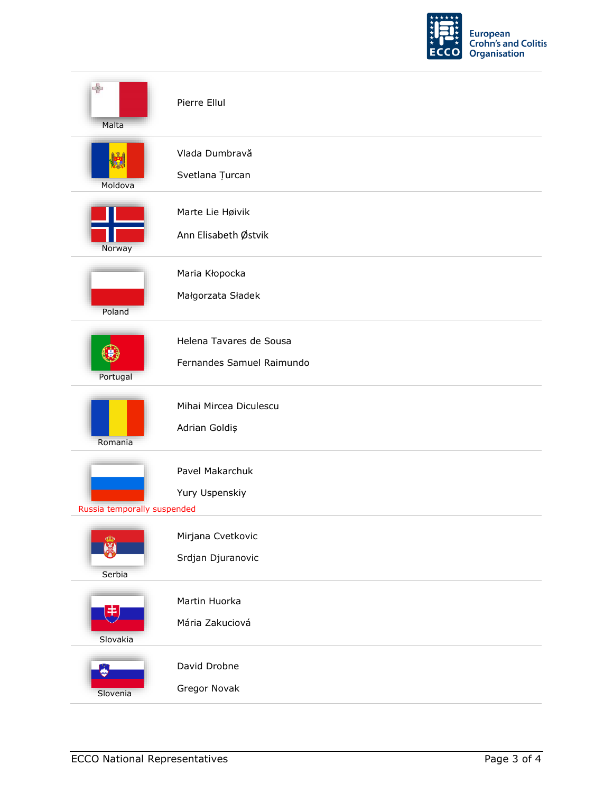

| $\Rightarrow$<br>Malta                | Pierre Ellul                                         |
|---------------------------------------|------------------------------------------------------|
| Moldova                               | Vlada Dumbravă<br>Svetlana Țurcan                    |
| Norway                                | Marte Lie Høivik<br>Ann Elisabeth Østvik             |
| Poland                                | Maria Kłopocka<br>Małgorzata Sładek                  |
| Portugal                              | Helena Tavares de Sousa<br>Fernandes Samuel Raimundo |
| Romania                               | Mihai Mircea Diculescu<br>Adrian Goldiș              |
| Russia temporally suspended           | Pavel Makarchuk<br>Yury Uspenskiy                    |
| ക<br>黑<br>Serbia                      | Mirjana Cvetkovic<br>Srdjan Djuranovic               |
| $\ket{\ddot{\ddot{\pi}}}$<br>Slovakia | Martin Huorka<br>Mária Zakuciová                     |
| A.<br>Slovenia                        | David Drobne<br>Gregor Novak                         |